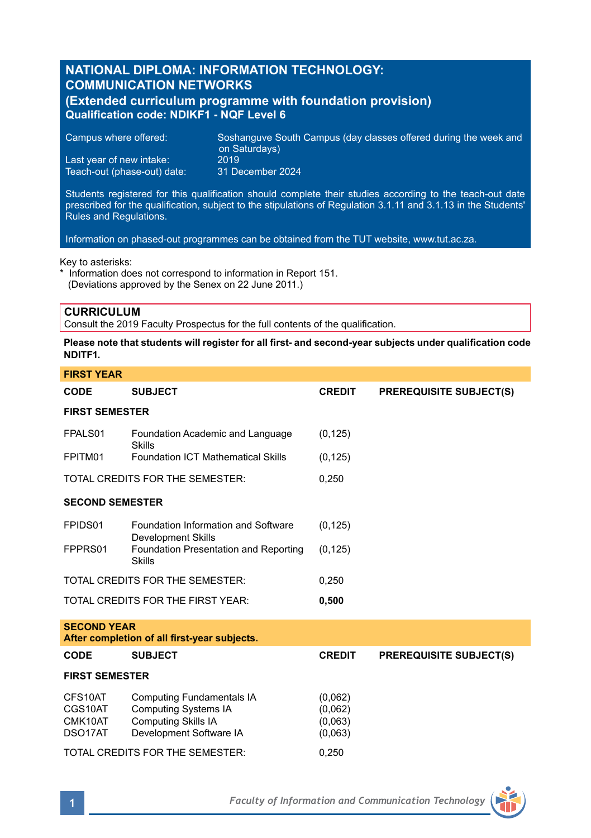# **NATIONAL DIPLOMA: INFORMATION TECHNOLOGY: COMMUNICATION NETWORKS**

# **(Extended curriculum programme with foundation provision) Qualification code: NDIKF1 - NQF Level 6**

Campus where offered: Soshanguve South Campus (day classes offered during the week and on Saturdays) Last year of new intake: 2019<br>Teach-out (phase-out) date: 31 December 2024

Teach-out (phase-out) date:

Students registered for this qualification should complete their studies according to the teach-out date prescribed for the qualification, subject to the stipulations of Regulation 3.1.11 and 3.1.13 in the Students' Rules and Regulations.

Information on phased-out programmes can be obtained from the TUT website, www.tut.ac.za.

### Key to asterisks:

\* Information does not correspond to information in Report 151. (Deviations approved by the Senex on 22 June 2011.)

# **CURRICULUM**

Consult the 2019 Faculty Prospectus for the full contents of the qualification.

### **Please note that students will register for all first- and second-year subjects under qualification code NDITF1.**

| <b>FIRST YEAR</b>                                                  |                                                                                                                          |                                          |                                |  |  |  |  |
|--------------------------------------------------------------------|--------------------------------------------------------------------------------------------------------------------------|------------------------------------------|--------------------------------|--|--|--|--|
| <b>CODE</b>                                                        | <b>SUBJECT</b>                                                                                                           | <b>CREDIT</b>                            | <b>PREREQUISITE SUBJECT(S)</b> |  |  |  |  |
| <b>FIRST SEMESTER</b>                                              |                                                                                                                          |                                          |                                |  |  |  |  |
| FPALS01                                                            | Foundation Academic and Language<br>Skills                                                                               | (0, 125)                                 |                                |  |  |  |  |
| FPITM01                                                            | <b>Foundation ICT Mathematical Skills</b>                                                                                | (0, 125)                                 |                                |  |  |  |  |
| TOTAL CREDITS FOR THE SEMESTER:                                    |                                                                                                                          | 0,250                                    |                                |  |  |  |  |
| <b>SECOND SEMESTER</b>                                             |                                                                                                                          |                                          |                                |  |  |  |  |
| FPIDS01                                                            | Foundation Information and Software<br><b>Development Skills</b>                                                         | (0, 125)                                 |                                |  |  |  |  |
| FPPRS01                                                            | Foundation Presentation and Reporting<br><b>Skills</b>                                                                   | (0, 125)                                 |                                |  |  |  |  |
|                                                                    | TOTAL CREDITS FOR THE SEMESTER:                                                                                          | 0.250                                    |                                |  |  |  |  |
|                                                                    | TOTAL CREDITS FOR THE FIRST YEAR:                                                                                        | 0,500                                    |                                |  |  |  |  |
| <b>SECOND YEAR</b><br>After completion of all first-year subjects. |                                                                                                                          |                                          |                                |  |  |  |  |
| CODE                                                               | <b>SUBJECT</b>                                                                                                           | <b>CREDIT</b>                            | <b>PREREQUISITE SUBJECT(S)</b> |  |  |  |  |
| <b>FIRST SEMESTER</b>                                              |                                                                                                                          |                                          |                                |  |  |  |  |
| CFS10AT<br>CGS10AT<br>CMK10AT<br>DSO17AT                           | <b>Computing Fundamentals IA</b><br><b>Computing Systems IA</b><br><b>Computing Skills IA</b><br>Development Software IA | (0.062)<br>(0.062)<br>(0,063)<br>(0,063) |                                |  |  |  |  |
| TOTAL CREDITS FOR THE SEMESTER:                                    |                                                                                                                          | 0.250                                    |                                |  |  |  |  |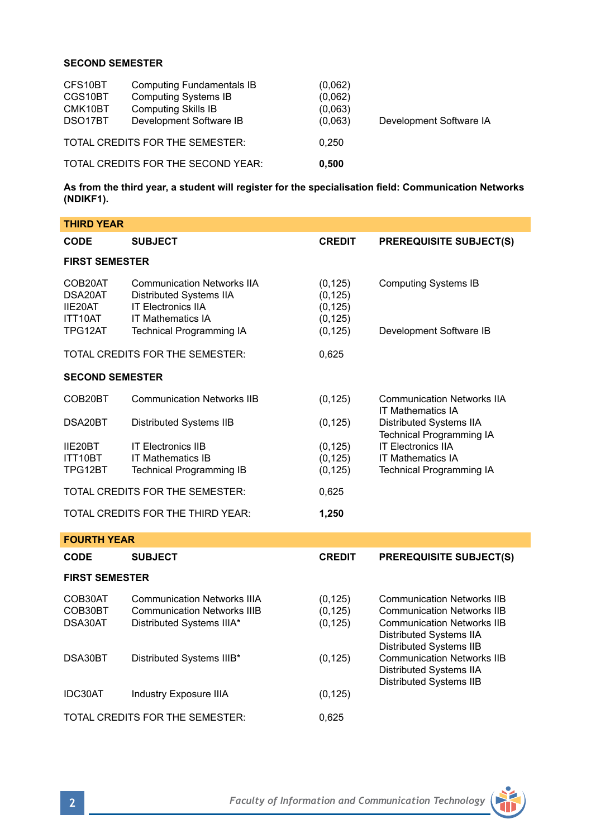## **SECOND SEMESTER**

| CFS10BT<br>CGS10BT<br>CMK10BT<br>DSO17BT | <b>Computing Fundamentals IB</b><br><b>Computing Systems IB</b><br><b>Computing Skills IB</b><br>Development Software IB | (0.062)<br>(0,062)<br>(0,063)<br>(0.063) | Development Software IA |
|------------------------------------------|--------------------------------------------------------------------------------------------------------------------------|------------------------------------------|-------------------------|
| TOTAL CREDITS FOR THE SEMESTER:          |                                                                                                                          | 0.250                                    |                         |
| TOTAL CREDITS FOR THE SECOND YEAR:       |                                                                                                                          | 0.500                                    |                         |

**As from the third year, a student will register for the specialisation field: Communication Networks (NDIKF1).**

| <b>THIRD YEAR</b>                                   |                                                                                                                                                          |                                                          |                                                                                                                                        |  |  |  |  |
|-----------------------------------------------------|----------------------------------------------------------------------------------------------------------------------------------------------------------|----------------------------------------------------------|----------------------------------------------------------------------------------------------------------------------------------------|--|--|--|--|
| CODE                                                | <b>SUBJECT</b>                                                                                                                                           | <b>CREDIT</b>                                            | <b>PREREQUISITE SUBJECT(S)</b>                                                                                                         |  |  |  |  |
| <b>FIRST SEMESTER</b>                               |                                                                                                                                                          |                                                          |                                                                                                                                        |  |  |  |  |
| COB20AT<br>DSA20AT<br>IIE20AT<br>ITT10AT<br>TPG12AT | <b>Communication Networks IIA</b><br>Distributed Systems IIA<br><b>IT Electronics IIA</b><br><b>IT Mathematics IA</b><br><b>Technical Programming IA</b> | (0, 125)<br>(0, 125)<br>(0, 125)<br>(0, 125)<br>(0, 125) | <b>Computing Systems IB</b><br>Development Software IB                                                                                 |  |  |  |  |
|                                                     | TOTAL CREDITS FOR THE SEMESTER:                                                                                                                          | 0,625                                                    |                                                                                                                                        |  |  |  |  |
| <b>SECOND SEMESTER</b>                              |                                                                                                                                                          |                                                          |                                                                                                                                        |  |  |  |  |
| COB20BT                                             | <b>Communication Networks IIB</b>                                                                                                                        | (0, 125)                                                 | <b>Communication Networks IIA</b><br><b>IT Mathematics IA</b><br>Distributed Systems IIA<br><b>Technical Programming IA</b>            |  |  |  |  |
| DSA20BT                                             | Distributed Systems IIB                                                                                                                                  | (0, 125)                                                 |                                                                                                                                        |  |  |  |  |
| IIE20BT<br>ITT10BT<br>TPG12BT                       | <b>IT Electronics IIB</b><br><b>IT Mathematics IB</b><br><b>Technical Programming IB</b>                                                                 | (0, 125)<br>(0, 125)<br>(0, 125)                         | <b>IT Electronics IIA</b><br><b>IT Mathematics IA</b><br><b>Technical Programming IA</b>                                               |  |  |  |  |
| TOTAL CREDITS FOR THE SEMESTER:                     |                                                                                                                                                          | 0,625                                                    |                                                                                                                                        |  |  |  |  |
|                                                     | TOTAL CREDITS FOR THE THIRD YEAR:                                                                                                                        | 1,250                                                    |                                                                                                                                        |  |  |  |  |
| <b>FOURTH YEAR</b>                                  |                                                                                                                                                          |                                                          |                                                                                                                                        |  |  |  |  |
| CODE                                                | <b>SUBJECT</b>                                                                                                                                           | <b>CREDIT</b>                                            | <b>PREREQUISITE SUBJECT(S)</b>                                                                                                         |  |  |  |  |
| <b>FIRST SEMESTER</b>                               |                                                                                                                                                          |                                                          |                                                                                                                                        |  |  |  |  |
| COB30AT<br>COB30BT<br>DSA30AT                       | <b>Communication Networks IIIA</b><br><b>Communication Networks IIIB</b><br>Distributed Systems IIIA*                                                    | (0, 125)<br>(0, 125)<br>(0, 125)                         | <b>Communication Networks IIB</b><br><b>Communication Networks IIB</b><br><b>Communication Networks IIB</b><br>Distributed Systems IIA |  |  |  |  |
| DSA30BT                                             | Distributed Systems IIIB*                                                                                                                                | (0, 125)                                                 | Distributed Systems IIB<br><b>Communication Networks IIB</b><br><b>Distributed Systems IIA</b><br>Distributed Systems IIB              |  |  |  |  |
| IDC30AT                                             | Industry Exposure IIIA                                                                                                                                   | (0, 125)                                                 |                                                                                                                                        |  |  |  |  |
|                                                     | TOTAL CREDITS FOR THE SEMESTER:                                                                                                                          | 0,625                                                    |                                                                                                                                        |  |  |  |  |

Ť

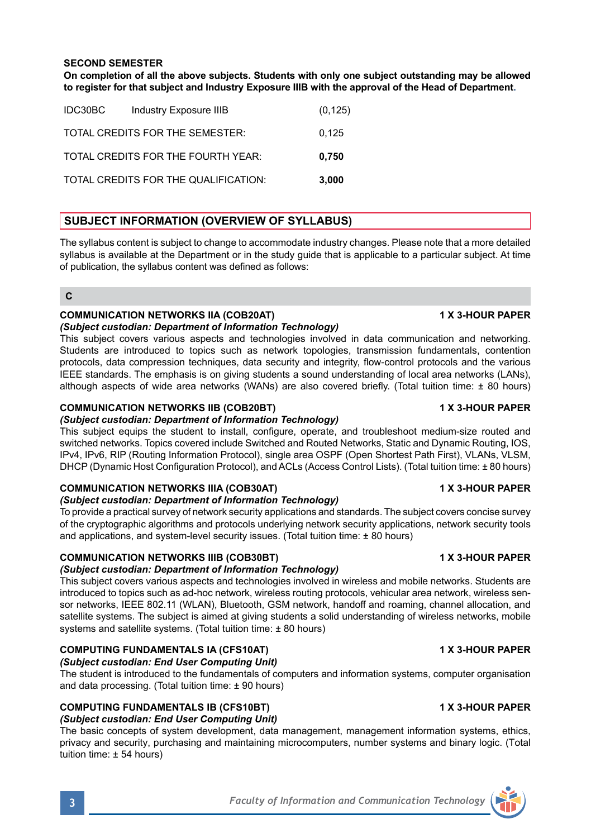**On completion of all the above subjects. Students with only one subject outstanding may be allowed to register for that subject and Industry Exposure IIIB with the approval of the Head of Department.**

| IDC30BC | Industry Exposure IIIB               | (0, 125) |
|---------|--------------------------------------|----------|
|         | TOTAL CREDITS FOR THE SEMESTER:      | 0.125    |
|         | TOTAL CREDITS FOR THE FOURTH YEAR:   | 0,750    |
|         | TOTAL CREDITS FOR THE QUALIFICATION: | 3,000    |

# **SUBJECT INFORMATION (OVERVIEW OF SYLLABUS)**

The syllabus content is subject to change to accommodate industry changes. Please note that a more detailed syllabus is available at the Department or in the study guide that is applicable to a particular subject. At time of publication, the syllabus content was defined as follows:

# **C**

# **COMMUNICATION NETWORKS IIA (COB20AT) 1 X 3-HOUR PAPER**

*(Subject custodian: Department of Information Technology)* This subject covers various aspects and technologies involved in data communication and networking. Students are introduced to topics such as network topologies, transmission fundamentals, contention protocols, data compression techniques, data security and integrity, flow-control protocols and the various IEEE standards. The emphasis is on giving students a sound understanding of local area networks (LANs), although aspects of wide area networks (WANs) are also covered briefly. (Total tuition time: ± 80 hours)

# **COMMUNICATION NETWORKS IIB (COB20BT) 1 X 3-HOUR PAPER**

# *(Subject custodian: Department of Information Technology)*

This subject equips the student to install, configure, operate, and troubleshoot medium-size routed and switched networks. Topics covered include Switched and Routed Networks, Static and Dynamic Routing, IOS, IPv4, IPv6, RIP (Routing Information Protocol), single area OSPF (Open Shortest Path First), VLANs, VLSM, DHCP (Dynamic Host Configuration Protocol), and ACLs (Access Control Lists). (Total tuition time: ± 80 hours)

# **COMMUNICATION NETWORKS IIIA (COB30AT) 1 X 3-HOUR PAPER**

### *(Subject custodian: Department of Information Technology)*

To provide a practical survey of network security applications and standards. The subject covers concise survey of the cryptographic algorithms and protocols underlying network security applications, network security tools and applications, and system-level security issues. (Total tuition time:  $\pm$  80 hours)

# **COMMUNICATION NETWORKS IIIB (COB30BT) 1 X 3-HOUR PAPER**

# *(Subject custodian: Department of Information Technology)*

This subject covers various aspects and technologies involved in wireless and mobile networks. Students are introduced to topics such as ad-hoc network, wireless routing protocols, vehicular area network, wireless sensor networks, IEEE 802.11 (WLAN), Bluetooth, GSM network, handoff and roaming, channel allocation, and satellite systems. The subject is aimed at giving students a solid understanding of wireless networks, mobile systems and satellite systems. (Total tuition time: ± 80 hours)

### **COMPUTING FUNDAMENTALS IA (CFS10AT) 1 X 3-HOUR PAPER** *(Subject custodian: End User Computing Unit)*

The student is introduced to the fundamentals of computers and information systems, computer organisation and data processing. (Total tuition time: ± 90 hours)

# **COMPUTING FUNDAMENTALS IB (CFS10BT) 1 X 3-HOUR PAPER**

# *(Subject custodian: End User Computing Unit)*

The basic concepts of system development, data management, management information systems, ethics, privacy and security, purchasing and maintaining microcomputers, number systems and binary logic. (Total tuition time: ± 54 hours)

# **3** *Faculty of Information and Communication Technology*



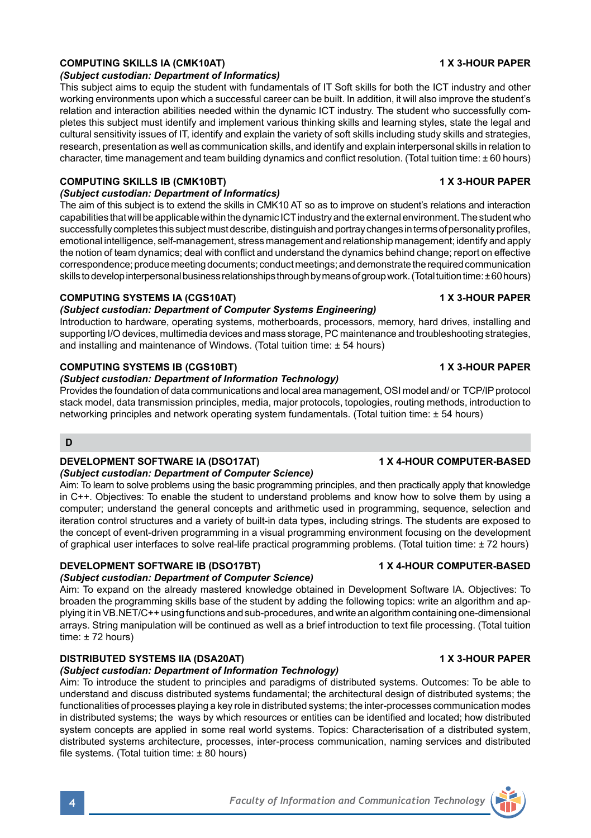## **COMPUTING SKILLS IA (CMK10AT) 1 X 3-HOUR PAPER**

#### *(Subject custodian: Department of Informatics)*

This subject aims to equip the student with fundamentals of IT Soft skills for both the ICT industry and other working environments upon which a successful career can be built. In addition, it will also improve the student's relation and interaction abilities needed within the dynamic ICT industry. The student who successfully completes this subject must identify and implement various thinking skills and learning styles, state the legal and cultural sensitivity issues of IT, identify and explain the variety of soft skills including study skills and strategies, research, presentation as well as communication skills, and identify and explain interpersonal skills in relation to character, time management and team building dynamics and conflict resolution. (Total tuition time: ± 60 hours)

### **COMPUTING SKILLS IB (CMK10BT) 1 X 3-HOUR PAPER**

### *(Subject custodian: Department of Informatics)*

The aim of this subject is to extend the skills in CMK10 AT so as to improve on student's relations and interaction capabilities that will be applicable within the dynamic ICT industry and the external environment. The student who successfully completes this subject must describe, distinguish and portray changes in terms of personality profiles, emotional intelligence, self-management, stress management and relationship management; identify and apply the notion of team dynamics; deal with conflict and understand the dynamics behind change; report on effective correspondence; produce meeting documents; conduct meetings; and demonstrate the required communication skills to develop interpersonal business relationships through by means of group work. (Total tuition time: ± 60 hours)

### **COMPUTING SYSTEMS IA (CGS10AT) 1 X 3-HOUR PAPER**

### *(Subject custodian: Department of Computer Systems Engineering)*

Introduction to hardware, operating systems, motherboards, processors, memory, hard drives, installing and supporting I/O devices, multimedia devices and mass storage, PC maintenance and troubleshooting strategies, and installing and maintenance of Windows. (Total tuition time: ± 54 hours)

### **COMPUTING SYSTEMS IB (CGS10BT) 1 X 3-HOUR PAPER**

## *(Subject custodian: Department of Information Technology)*

Provides the foundation of data communications and local area management, OSI model and/ or TCP/IP protocol stack model, data transmission principles, media, major protocols, topologies, routing methods, introduction to networking principles and network operating system fundamentals. (Total tuition time: ± 54 hours)

## **D**

### **DEVELOPMENT SOFTWARE IA (DSO17AT) 1 X 4-HOUR COMPUTER-BASED**

### *(Subject custodian: Department of Computer Science)*

Aim: To learn to solve problems using the basic programming principles, and then practically apply that knowledge in C++. Objectives: To enable the student to understand problems and know how to solve them by using a computer; understand the general concepts and arithmetic used in programming, sequence, selection and iteration control structures and a variety of built-in data types, including strings. The students are exposed to the concept of event-driven programming in a visual programming environment focusing on the development of graphical user interfaces to solve real-life practical programming problems. (Total tuition time: ± 72 hours)

### **DEVELOPMENT SOFTWARE IB (DSO17BT) 1 X 4-HOUR COMPUTER-BASED**

### *(Subject custodian: Department of Computer Science)*

Aim: To expand on the already mastered knowledge obtained in Development Software IA. Objectives: To broaden the programming skills base of the student by adding the following topics: write an algorithm and applying it in VB.NET/C++ using functions and sub-procedures, and write an algorithm containing one-dimensional arrays. String manipulation will be continued as well as a brief introduction to text file processing. (Total tuition time: ± 72 hours)

# **DISTRIBUTED SYSTEMS IIA (DSA20AT) 1 X 3-HOUR PAPER**

#### *(Subject custodian: Department of Information Technology)*

Aim: To introduce the student to principles and paradigms of distributed systems. Outcomes: To be able to understand and discuss distributed systems fundamental; the architectural design of distributed systems; the functionalities of processes playing a key role in distributed systems; the inter-processes communication modes in distributed systems; the ways by which resources or entities can be identified and located; how distributed system concepts are applied in some real world systems. Topics: Characterisation of a distributed system, distributed systems architecture, processes, inter-process communication, naming services and distributed file systems. (Total tuition time:  $\pm 80$  hours)

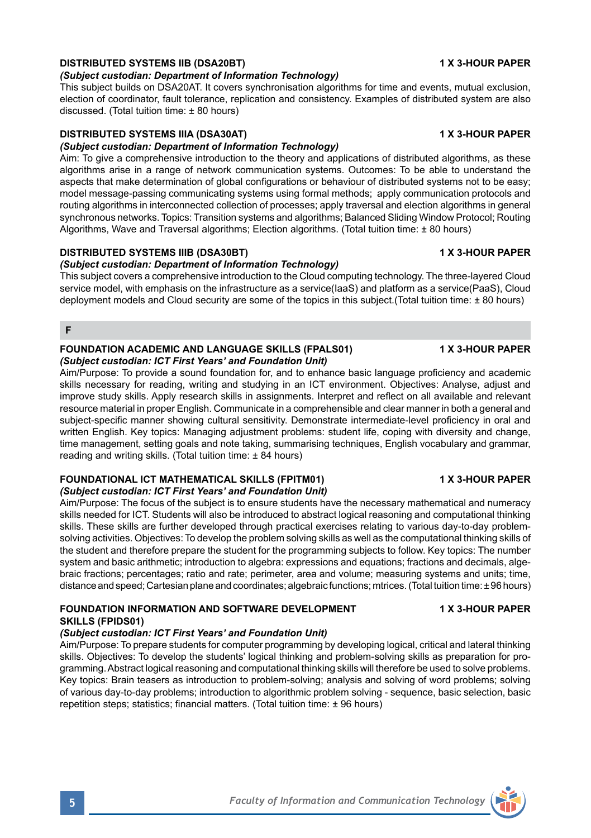# **DISTRIBUTED SYSTEMS IIB (DSA20BT) 1 X 3-HOUR PAPER**

# *(Subject custodian: Department of Information Technology)*

This subject builds on DSA20AT. It covers synchronisation algorithms for time and events, mutual exclusion, election of coordinator, fault tolerance, replication and consistency. Examples of distributed system are also discussed. (Total tuition time: ± 80 hours)

# **DISTRIBUTED SYSTEMS IIIA (DSA30AT) 1 X 3-HOUR PAPER**

# *(Subject custodian: Department of Information Technology)*

Aim: To give a comprehensive introduction to the theory and applications of distributed algorithms, as these algorithms arise in a range of network communication systems. Outcomes: To be able to understand the aspects that make determination of global configurations or behaviour of distributed systems not to be easy; model message-passing communicating systems using formal methods; apply communication protocols and routing algorithms in interconnected collection of processes; apply traversal and election algorithms in general synchronous networks. Topics: Transition systems and algorithms; Balanced Sliding Window Protocol; Routing Algorithms, Wave and Traversal algorithms; Election algorithms. (Total tuition time: ± 80 hours)

# **DISTRIBUTED SYSTEMS IIIB (DSA30BT) 1 X 3-HOUR PAPER**

# *(Subject custodian: Department of Information Technology)*

This subject covers a comprehensive introduction to the Cloud computing technology. The three-layered Cloud service model, with emphasis on the infrastructure as a service(IaaS) and platform as a service(PaaS), Cloud deployment models and Cloud security are some of the topics in this subject.(Total tuition time: ± 80 hours)

**F**

#### **FOUNDATION ACADEMIC AND LANGUAGE SKILLS (FPALS01) 1 X 3-HOUR PAPER** *(Subject custodian: ICT First Years' and Foundation Unit)*

Aim/Purpose: To provide a sound foundation for, and to enhance basic language proficiency and academic skills necessary for reading, writing and studying in an ICT environment. Objectives: Analyse, adjust and improve study skills. Apply research skills in assignments. Interpret and reflect on all available and relevant resource material in proper English. Communicate in a comprehensible and clear manner in both a general and subject-specific manner showing cultural sensitivity. Demonstrate intermediate-level proficiency in oral and written English. Key topics: Managing adjustment problems: student life, coping with diversity and change, time management, setting goals and note taking, summarising techniques, English vocabulary and grammar, reading and writing skills. (Total tuition time: ± 84 hours)

# **FOUNDATIONAL ICT MATHEMATICAL SKILLS (FPITM01) 1 X 3-HOUR PAPER**

# *(Subject custodian: ICT First Years' and Foundation Unit)*

Aim/Purpose: The focus of the subject is to ensure students have the necessary mathematical and numeracy skills needed for ICT. Students will also be introduced to abstract logical reasoning and computational thinking skills. These skills are further developed through practical exercises relating to various day-to-day problemsolving activities. Objectives: To develop the problem solving skills as well as the computational thinking skills of the student and therefore prepare the student for the programming subjects to follow. Key topics: The number system and basic arithmetic; introduction to algebra: expressions and equations; fractions and decimals, algebraic fractions; percentages; ratio and rate; perimeter, area and volume; measuring systems and units; time, distance and speed; Cartesian plane and coordinates; algebraic functions; mtrices. (Total tuition time: ± 96 hours)

### **FOUNDATION INFORMATION AND SOFTWARE DEVELOPMENT 1 X 3-HOUR PAPER SKILLS (FPIDS01)**

# *(Subject custodian: ICT First Years' and Foundation Unit)*

Aim/Purpose: To prepare students for computer programming by developing logical, critical and lateral thinking skills. Objectives: To develop the students' logical thinking and problem-solving skills as preparation for programming. Abstract logical reasoning and computational thinking skills will therefore be used to solve problems. Key topics: Brain teasers as introduction to problem-solving; analysis and solving of word problems; solving of various day-to-day problems; introduction to algorithmic problem solving - sequence, basic selection, basic repetition steps; statistics; financial matters. (Total tuition time: ± 96 hours)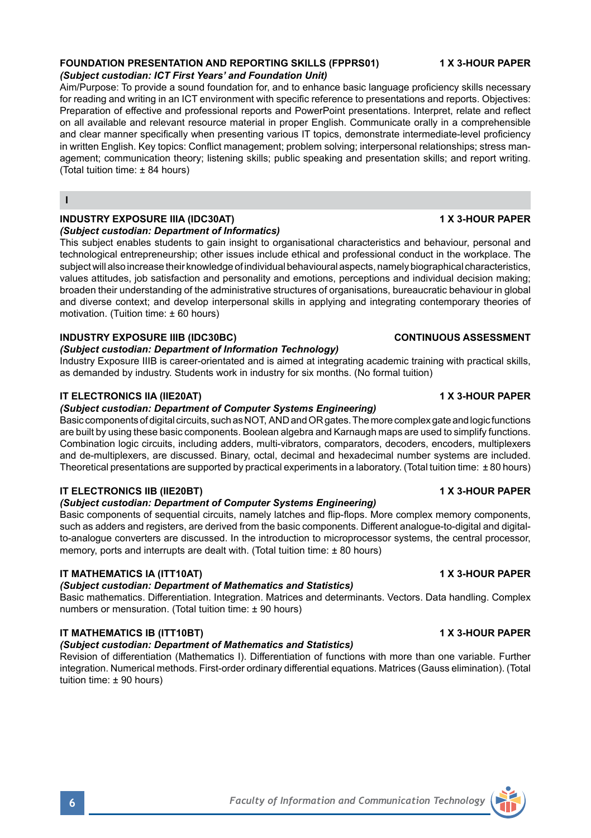# *(Subject custodian: ICT First Years' and Foundation Unit)*

Aim/Purpose: To provide a sound foundation for, and to enhance basic language proficiency skills necessary for reading and writing in an ICT environment with specific reference to presentations and reports. Objectives: Preparation of effective and professional reports and PowerPoint presentations. Interpret, relate and reflect on all available and relevant resource material in proper English. Communicate orally in a comprehensible and clear manner specifically when presenting various IT topics, demonstrate intermediate-level proficiency in written English. Key topics: Conflict management; problem solving; interpersonal relationships; stress management; communication theory; listening skills; public speaking and presentation skills; and report writing. (Total tuition time: ± 84 hours)

#### **I**

# **INDUSTRY EXPOSURE IIIA (IDC30AT) 1 X 3-HOUR PAPER**

# *(Subject custodian: Department of Informatics)*

This subject enables students to gain insight to organisational characteristics and behaviour, personal and technological entrepreneurship; other issues include ethical and professional conduct in the workplace. The subject will also increase their knowledge of individual behavioural aspects, namely biographical characteristics, values attitudes, job satisfaction and personality and emotions, perceptions and individual decision making; broaden their understanding of the administrative structures of organisations, bureaucratic behaviour in global and diverse context; and develop interpersonal skills in applying and integrating contemporary theories of motivation. (Tuition time: ± 60 hours)

# **INDUSTRY EXPOSURE IIIB (IDC30BC) CONTINUOUS ASSESSMENT**

# *(Subject custodian: Department of Information Technology)*

Industry Exposure IIIB is career-orientated and is aimed at integrating academic training with practical skills, as demanded by industry. Students work in industry for six months. (No formal tuition)

### **IT ELECTRONICS IIA (IIE20AT) 1 X 3-HOUR PAPER**

## *(Subject custodian: Department of Computer Systems Engineering)*

Basic components of digital circuits, such as NOT, AND and OR gates. The more complex gate and logic functions are built by using these basic components. Boolean algebra and Karnaugh maps are used to simplify functions. Combination logic circuits, including adders, multi-vibrators, comparators, decoders, encoders, multiplexers and de-multiplexers, are discussed. Binary, octal, decimal and hexadecimal number systems are included. Theoretical presentations are supported by practical experiments in a laboratory. (Total tuition time: ± 80 hours)

#### **IT ELECTRONICS IIB (IIE20BT) 1 X 3-HOUR PAPER**

#### *(Subject custodian: Department of Computer Systems Engineering)*

Basic components of sequential circuits, namely latches and flip-flops. More complex memory components, such as adders and registers, are derived from the basic components. Different analogue-to-digital and digitalto-analogue converters are discussed. In the introduction to microprocessor systems, the central processor, memory, ports and interrupts are dealt with. (Total tuition time: ± 80 hours)

#### **IT MATHEMATICS IA (ITT10AT) 1 X 3-HOUR PAPER**

### *(Subject custodian: Department of Mathematics and Statistics)*

Basic mathematics. Differentiation. Integration. Matrices and determinants. Vectors. Data handling. Complex numbers or mensuration. (Total tuition time: ± 90 hours)

# **IT MATHEMATICS IB (ITT10BT) 1 X 3-HOUR PAPER**

#### *(Subject custodian: Department of Mathematics and Statistics)*

Revision of differentiation (Mathematics I). Differentiation of functions with more than one variable. Further integration. Numerical methods. First-order ordinary differential equations. Matrices (Gauss elimination). (Total tuition time: ± 90 hours)

**FOUNDATION PRESENTATION AND REPORTING SKILLS (FPPRS01) 1 X 3-HOUR PAPER**